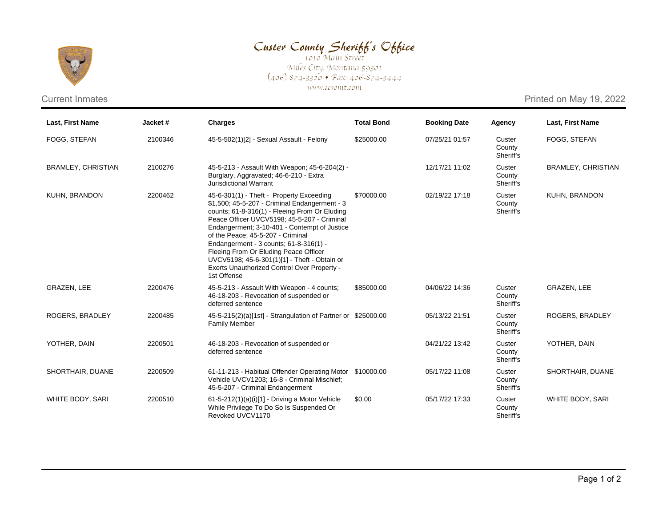

## Custer County Sheriff's Office

Miles City, Montana 59301<br>(406) 874-3320 • Fax: 406-874-3444 www.ccsomt.com

Current Inmates **Printed on May 19, 2022** 

| <b>Last, First Name</b>   | Jacket# | <b>Charges</b>                                                                                                                                                                                                                                                                                                                                                                                                                                                                  | <b>Total Bond</b> | <b>Booking Date</b> | Agency                        | Last, First Name          |
|---------------------------|---------|---------------------------------------------------------------------------------------------------------------------------------------------------------------------------------------------------------------------------------------------------------------------------------------------------------------------------------------------------------------------------------------------------------------------------------------------------------------------------------|-------------------|---------------------|-------------------------------|---------------------------|
| FOGG, STEFAN              | 2100346 | 45-5-502(1)[2] - Sexual Assault - Felony                                                                                                                                                                                                                                                                                                                                                                                                                                        | \$25000.00        | 07/25/21 01:57      | Custer<br>County<br>Sheriff's | FOGG, STEFAN              |
| <b>BRAMLEY, CHRISTIAN</b> | 2100276 | 45-5-213 - Assault With Weapon; 45-6-204(2) -<br>Burglary, Aggravated; 46-6-210 - Extra<br><b>Jurisdictional Warrant</b>                                                                                                                                                                                                                                                                                                                                                        |                   | 12/17/21 11:02      | Custer<br>County<br>Sheriff's | <b>BRAMLEY, CHRISTIAN</b> |
| KUHN, BRANDON             | 2200462 | 45-6-301(1) - Theft - Property Exceeding<br>\$1,500; 45-5-207 - Criminal Endangerment - 3<br>counts; 61-8-316(1) - Fleeing From Or Eluding<br>Peace Officer UVCV5198; 45-5-207 - Criminal<br>Endangerment; 3-10-401 - Contempt of Justice<br>of the Peace: 45-5-207 - Criminal<br>Endangerment - 3 counts; 61-8-316(1) -<br>Fleeing From Or Eluding Peace Officer<br>UVCV5198; 45-6-301(1)[1] - Theft - Obtain or<br>Exerts Unauthorized Control Over Property -<br>1st Offense | \$70000.00        | 02/19/22 17:18      | Custer<br>County<br>Sheriff's | KUHN, BRANDON             |
| GRAZEN, LEE               | 2200476 | 45-5-213 - Assault With Weapon - 4 counts;<br>46-18-203 - Revocation of suspended or<br>deferred sentence                                                                                                                                                                                                                                                                                                                                                                       | \$85000.00        | 04/06/22 14:36      | Custer<br>County<br>Sheriff's | GRAZEN, LEE               |
| ROGERS, BRADLEY           | 2200485 | 45-5-215(2)(a)[1st] - Strangulation of Partner or \$25000.00<br><b>Family Member</b>                                                                                                                                                                                                                                                                                                                                                                                            |                   | 05/13/22 21:51      | Custer<br>County<br>Sheriff's | ROGERS, BRADLEY           |
| YOTHER, DAIN              | 2200501 | 46-18-203 - Revocation of suspended or<br>deferred sentence                                                                                                                                                                                                                                                                                                                                                                                                                     |                   | 04/21/22 13:42      | Custer<br>County<br>Sheriff's | YOTHER, DAIN              |
| SHORTHAIR, DUANE          | 2200509 | 61-11-213 - Habitual Offender Operating Motor \$10000.00<br>Vehicle UVCV1203; 16-8 - Criminal Mischief;<br>45-5-207 - Criminal Endangerment                                                                                                                                                                                                                                                                                                                                     |                   | 05/17/22 11:08      | Custer<br>County<br>Sheriff's | SHORTHAIR, DUANE          |
| WHITE BODY, SARI          | 2200510 | 61-5-212(1)(a)(i)[1] - Driving a Motor Vehicle<br>While Privilege To Do So Is Suspended Or<br>Revoked UVCV1170                                                                                                                                                                                                                                                                                                                                                                  | \$0.00            | 05/17/22 17:33      | Custer<br>County<br>Sheriff's | WHITE BODY, SARI          |